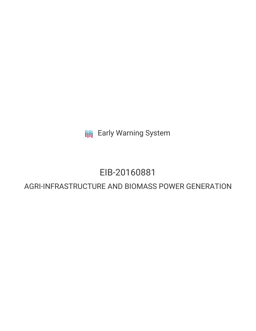**III** Early Warning System

# EIB-20160881

## AGRI-INFRASTRUCTURE AND BIOMASS POWER GENERATION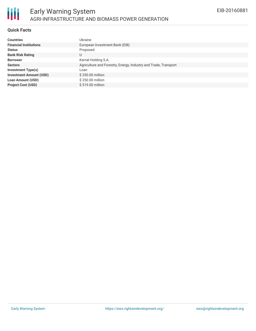

## **Quick Facts**

| <b>Countries</b>               | Ukraine                                                         |
|--------------------------------|-----------------------------------------------------------------|
| <b>Financial Institutions</b>  | European Investment Bank (EIB)                                  |
| <b>Status</b>                  | Proposed                                                        |
| <b>Bank Risk Rating</b>        | U                                                               |
| <b>Borrower</b>                | Kernel Holding S.A.                                             |
| <b>Sectors</b>                 | Agriculture and Forestry, Energy, Industry and Trade, Transport |
| <b>Investment Type(s)</b>      | Loan                                                            |
| <b>Investment Amount (USD)</b> | \$250.00 million                                                |
| <b>Loan Amount (USD)</b>       | \$250.00 million                                                |
| <b>Project Cost (USD)</b>      | $$519.00$ million                                               |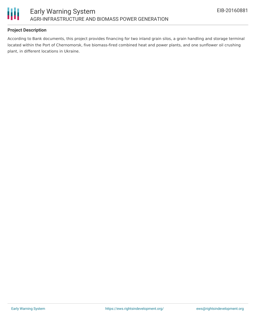

## **Project Description**

According to Bank documents, this project provides financing for two inland grain silos, a grain handling and storage terminal located within the Port of Chernomorsk, five biomass-fired combined heat and power plants, and one sunflower oil crushing plant, in different locations in Ukraine.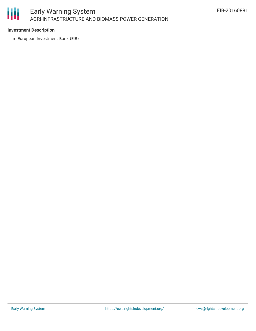

## **Investment Description**

European Investment Bank (EIB)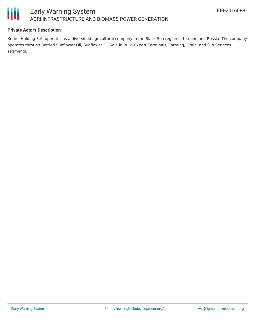

## **Private Actors Description**

Kernel Holding S.A. operates as a diversified agricultural company in the Black Sea region in Ukraine and Russia. The company operates through Bottled Sunflower Oil, Sunflower Oil Sold in Bulk, Export Terminals, Farming, Grain, and Silo Services segments.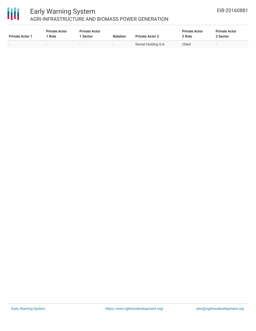

# 冊

## Early Warning System AGRI-INFRASTRUCTURE AND BIOMASS POWER GENERATION

| <b>Private Actor 1</b> | <b>Private Actor</b><br><sup>1</sup> Role | <b>Private Actor</b><br><b>Sector</b> | <b>Relation</b> | <b>Private Actor 2</b> | <b>Private Actor</b><br>2 Role | <b>Private Actor</b><br>2 Sector |
|------------------------|-------------------------------------------|---------------------------------------|-----------------|------------------------|--------------------------------|----------------------------------|
| $\sim$                 |                                           |                                       |                 | Kernel Holding S.A.    | Client                         |                                  |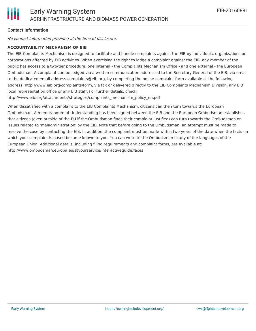

## **Contact Information**

No contact information provided at the time of disclosure.

### **ACCOUNTABILITY MECHANISM OF EIB**

The EIB Complaints Mechanism is designed to facilitate and handle complaints against the EIB by individuals, organizations or corporations affected by EIB activities. When exercising the right to lodge a complaint against the EIB, any member of the public has access to a two-tier procedure, one internal - the Complaints Mechanism Office - and one external - the European Ombudsman. A complaint can be lodged via a written communication addressed to the Secretary General of the EIB, via email to the dedicated email address complaints@eib.org, by completing the online complaint form available at the following address: http://www.eib.org/complaints/form, via fax or delivered directly to the EIB Complaints Mechanism Division, any EIB local representation office or any EIB staff. For further details, check:

http://www.eib.org/attachments/strategies/complaints\_mechanism\_policy\_en.pdf

When dissatisfied with a complaint to the EIB Complaints Mechanism, citizens can then turn towards the European Ombudsman. A memorandum of Understanding has been signed between the EIB and the European Ombudsman establishes that citizens (even outside of the EU if the Ombudsman finds their complaint justified) can turn towards the Ombudsman on issues related to 'maladministration' by the EIB. Note that before going to the Ombudsman, an attempt must be made to resolve the case by contacting the EIB. In addition, the complaint must be made within two years of the date when the facts on which your complaint is based became known to you. You can write to the Ombudsman in any of the languages of the European Union. Additional details, including filing requirements and complaint forms, are available at: http://www.ombudsman.europa.eu/atyourservice/interactiveguide.faces